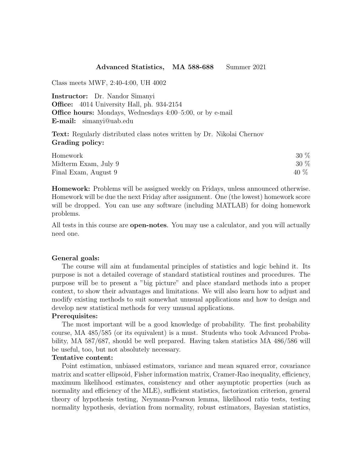## Advanced Statistics, MA 588-688 Summer 2021

Class meets MWF, 2:40-4:00, UH 4002

Instructor: Dr. Nandor Simanyi Office: 4014 University Hall, ph. 934-2154 Office hours: Mondays, Wednesdays 4:00–5:00, or by e-mail E-mail: simanyi@uab.edu

Text: Regularly distributed class notes written by Dr. Nikolai Chernov Grading policy:

| Homework             | 30 % |
|----------------------|------|
| Midterm Exam, July 9 | 30 % |
| Final Exam, August 9 | 40 % |

Homework: Problems will be assigned weekly on Fridays, unless announced otherwise. Homework will be due the next Friday after assignment. One (the lowest) homework score will be dropped. You can use any software (including MATLAB) for doing homework problems.

All tests in this course are **open-notes**. You may use a calculator, and you will actually need one.

## General goals:

The course will aim at fundamental principles of statistics and logic behind it. Its purpose is not a detailed coverage of standard statistical routines and procedures. The purpose will be to present a "big picture" and place standard methods into a proper context, to show their advantages and limitations. We will also learn how to adjust and modify existing methods to suit somewhat unusual applications and how to design and develop new statistical methods for very unusual applications.

## Prerequisites:

The most important will be a good knowledge of probability. The first probability course, MA 485/585 (or its equivalent) is a must. Students who took Advanced Probability, MA 587/687, should be well prepared. Having taken statistics MA 486/586 will be useful, too, but not absolutely necessary.

## Tentative content:

Point estimation, unbiased estimators, variance and mean squared error, covariance matrix and scatter ellipsoid, Fisher information matrix, Cramer-Rao inequality, efficiency, maximum likelihood estimates, consistency and other asymptotic properties (such as normality and efficiency of the MLE), sufficient statistics, factorization criterion, general theory of hypothesis testing, Neymann-Pearson lemma, likelihood ratio tests, testing normality hypothesis, deviation from normality, robust estimators, Bayesian statistics,